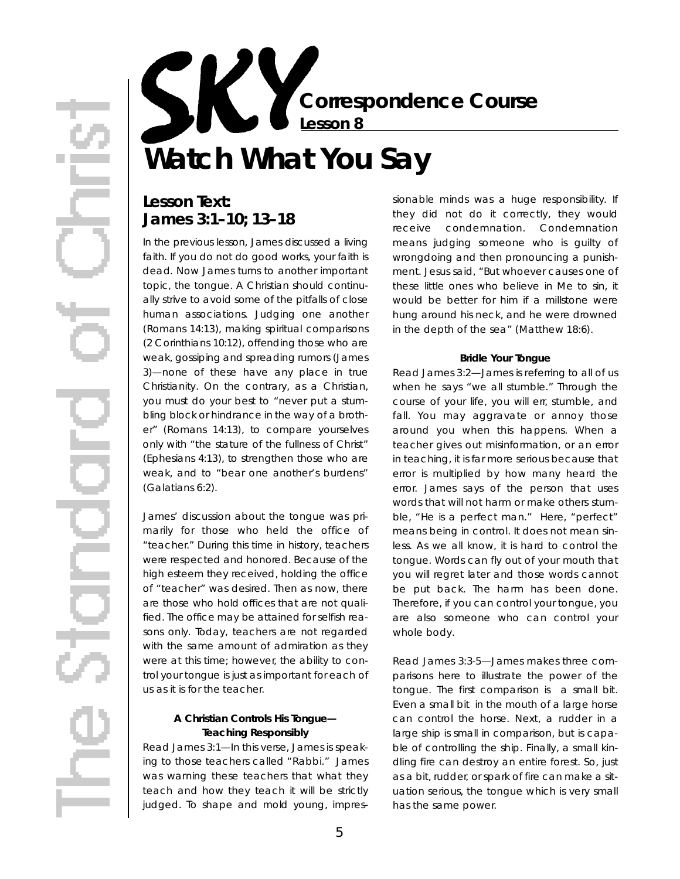**Correspondence Course Lesson 8**

# **Watch What You Say**

## Lesson Text: **James 3:1–10; 13–18**

In the previous lesson, James discussed a living faith. If you do not do good works, your faith is dead. Now James turns to another important topic, the tongue. A Christian should continually strive to avoid some of the pitfalls of close human associations. Judging one another (Romans 14:13), making spiritual comparisons (2 Corinthians 10:12), offending those who are weak, gossiping and spreading rumors (James 3)—none of these have any place in true Christianity. On the contrary, as a Christian, you must do your best to "never put a stumbling block or hindrance in the way of a brother" (Romans 14:13), to compare yourselves only with "the stature of the fullness of Christ" (Ephesians 4:13), to strengthen those who are weak, and to "bear one another's burdens" (Galatians 6:2).

James' discussion about the tongue was primarily for those who held the office of " teacher." During this time in history, teachers were respected and honored. Because of the high esteem they received, holding the office of "teacher" was desired. Then as now, there are those who hold offices that are not qualified. The office may be attained for selfish reasons only. Today, teachers are not regarded with the same amount of admiration as they were at this time; however, the ability to control your tongue is just as important for each of us as it is for the teacher.

#### **A Christian Controls His Tonque-Teaching Responsibly**

*Read James 3:1—*In this verse, James is speaking to those teachers called "Rabbi." James was warning these teachers that what they teach and how they teach it will be strictly judged. To shape and mold young, impressionable minds was a huge responsibility. If they did not do it correctly, they would receive condemnation. Condemnation means judging someone who is guilty of wrongdoing and then pronouncing a punishment. Jesus said, "But whoever causes one of these little ones who believe in Me to sin, it would be better for him if a millstone were hung around his neck, and he were drowned in the depth of the sea" (Matthew 18:6).

#### **Bridle Your Tongue**

*Read James 3:2—*James is referring to all of us when he says "we all stumble." Through the course of your life, you will err, stumble, and fall. You may aggravate or annoy those around you when this happens. When a teacher gives out misinformation, or an error in teaching, it is far more serious because that error is multiplied by how many heard the error. James says of the person that uses words that will not harm or make others stumble, "He is a perfect man." Here, "perfect" means being in control. It does not mean sinless. As we all know, it is hard to control the tongue. Words can fly out of your mouth that you will regret later and those words cannot be put back. The harm has been done. Therefore, if you can control your tongue, you are also someone who can control your whole body.

*Read James 3:3-5—*James makes three comparisons here to illustrate the power of the tongue. The first comparison is a small bit. Even a small bit in the mouth of a large horse can control the horse. Next, a rudder in a large ship is small in comparison, but is capable of controlling the ship. Finally, a small kindling fire can destroy an entire forest. So, just as a bit, rudder, or spark of fire can make a situation serious, the tongue which is very small has the same power.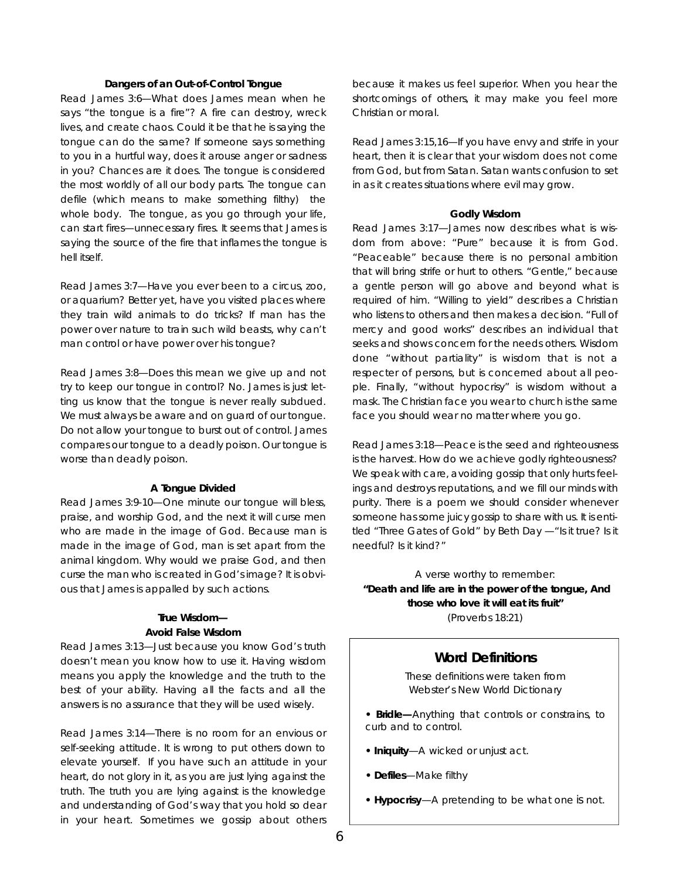#### **Dangers of an Out-of-Control Tongue**

*Read James 3:6—*What does James mean when he says "the tonque is a fire"? A fire can destroy, wreck lives, and create chaos. Could it be that he is saying the tongue can do the same? If someone says something to you in a hurtful way, does it arouse anger or sadness in you? Chances are it does. The tongue is considered the most worldly of all our body parts. The tongue can defile (which means to make something filthy) the whole body. The tongue, as you go through your life, can start fires—unnecessary fires. It seems that James is saying the source of the fire that inflames the tongue is hell itself.

*Read James 3:7—*Have you ever been to a circus, zoo, or aquarium? Better yet, have you visited places where they train wild animals to do tricks? If man has the power over nature to train such wild beasts, why can't man control or have power over his tongue?

*Read James 3:8—*Does this mean we give up and not try to keep our tongue in control? No. James is just letting us know that the tongue is never really subdued. We must always be aware and on guard of our tongue. Do not allow your tongue to burst out of control. James compares our tongue to a deadly poison. Our tongue is worse than deadly poison.

#### **A Tongue Divided**

*Read James 3:9-10*—One minute our tongue will bless, praise, and worship God, and the next it will curse men who are made in the image of God. Because man is made in the image of God, man is set apart from the animal kingdom. Why would we praise God, and then curse the man who is created in God's image? It is obvious that James is appalled by such actions.

#### **True Wisdom-Avoid False Wisdom**

*Read James 3:13—*Just because you know God's truth doesn't mean you know how to use it. Having wisdom means you apply the knowledge and the truth to the best of your ability. Having all the facts and all the answers is no assurance that they will be used wisely.

*Read James 3:14*—There is no room for an envious or self-seeking attitude. It is wrong to put others down to elevate yourself. If you have such an attitude in your heart, do not glory in it, as you are just lying against the truth. The truth you are lying against is the knowledge and understanding of God's way that you hold so dear in your heart. Sometimes we gossip about others

because it makes us feel superior. When you hear the shortcomings of others, it may make you feel more Christian or moral.

*Read James 3:15,16*—If you have envy and strife in your heart, then it is clear that your wisdom does not come from God, but from Satan, Satan wants confusion to set in as it creates situations where evil may grow.

#### **Godly Wisdom**

*Read James 3:17—*James now describes what is wisdom from above: "Pure" because it is from God. "Peaceable" because there is no personal ambition that will bring strife or hurt to others. "Gentle," because a gentle person will go above and beyond what is required of him. "Willing to yield" describes a Christian who listens to others and then makes a decision. "Full of mercy and good works" describes an individual that seeks and shows concern for the needs others. Wisdom done "without partiality" is wisdom that is not a respecter of persons, but is concerned about all people. Finally, "without hypocrisy" is wisdom without a mask. The Christian face you wear to church is the same face you should wear no matter where you go.

*Read James 3:18—*Peace is the seed and righteousness is the harvest. How do we achieve godly righteousness? We speak with care, avoiding gossip that only hurts feelings and destroys reputations, and we fill our minds with purity. There is a poem we should consider whenever someone has some juicy gossip to share with us. It is entitled "Three Gates of Gold" by Beth Day —"Is it true? Is it needful? Is it kind?"

A verse worthy to remember: **"Death and life are in the power of the tongue, And those who love it will eat its fruit"** (Proverbs 18:21)

#### **Word Definitions**

These definitions were taken from *Webster's New World Dictionary*

- **Bridle—**Anything that controls or constrains, to curb and to control.
- **Iniquity**—A wicked or unjust act.
- **Defiles**—Make filthy
- Hypocrisy-A pretending to be what one is not.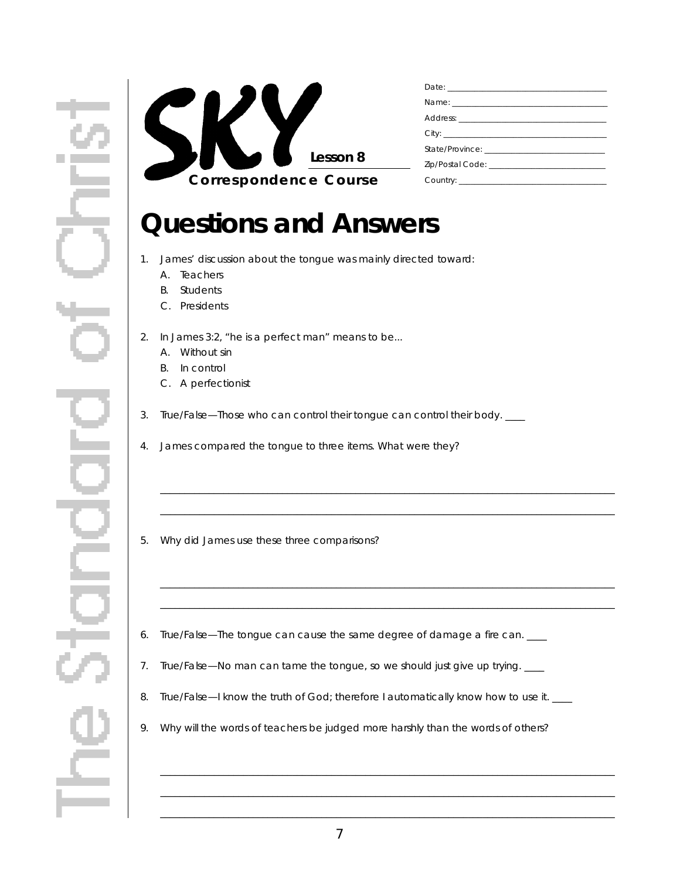

## **Questions and Answers**

- 1. James' discussion about the tongue was mainly directed toward:
	- A. Teachers
	- B. Students
	- C. Presidents
- 2. In James 3:2, "he is a perfect man" means to be...
	- A. Without sin
	- B. In control
	- C. A perfectionist
- 3. True/False—Those who can control their tongue can control their body. \_\_\_

\_ \_ \_ \_ \_ \_ \_ \_ \_ \_ \_ \_ \_ \_ \_ \_ \_ \_ \_ \_ \_ \_ \_ \_ \_ \_ \_ \_ \_ \_ \_ \_ \_ \_ \_ \_ \_ \_ \_ \_ \_ \_ \_ \_ \_ \_ \_ \_ \_ \_ \_ \_ \_ \_ \_ \_ \_ \_ \_ \_ \_ \_ \_ \_ \_ \_ \_ \_ \_ \_ \_ \_ \_ \_ \_ \_ \_ \_ \_ \_ \_ \_ \_ \_ \_ \_ \_ \_ \_ \_ \_ \_ \_ \_ \_ \_ \_ \_ \_ \_ \_ \_ \_ \_ \_ \_ \_ \_ \_ \_ \_ \_ \_ \_ \_ \_ \_ \_ \_ \_ \_ \_ \_ \_ \_ \_ \_ \_ \_ \_ \_ \_ \_ \_ \_ \_ \_ \_ \_ \_ \_ \_ \_ \_ \_ \_ \_ \_ \_ \_ \_ \_ \_ \_ \_ \_ \_ \_ \_ \_ \_ \_ \_ \_ \_ \_ \_ \_ \_ \_ \_ \_ \_ \_ \_ \_ \_ \_ \_ \_ \_ \_ \_ \_ \_ \_

\_ \_ \_ \_ \_ \_ \_ \_ \_ \_ \_ \_ \_ \_ \_ \_ \_ \_ \_ \_ \_ \_ \_ \_ \_ \_ \_ \_ \_ \_ \_ \_ \_ \_ \_ \_ \_ \_ \_ \_ \_ \_ \_ \_ \_ \_ \_ \_ \_ \_ \_ \_ \_ \_ \_ \_ \_ \_ \_ \_ \_ \_ \_ \_ \_ \_ \_ \_ \_ \_ \_ \_ \_ \_ \_ \_ \_ \_ \_ \_ \_ \_ \_ \_ \_ \_ \_ \_ \_ \_ \_ \_ \_ \_ \_ \_ \_ \_ \_ \_ \_ \_ \_ \_ \_ \_ \_ \_ \_ \_ \_ \_ \_ \_ \_ \_ \_ \_ \_ \_ \_ \_ \_ \_ \_ \_ \_ \_ \_ \_ \_ \_ \_ \_ \_ \_ \_ \_ \_ \_ \_ \_ \_ \_ \_ \_ \_ \_ \_ \_ \_ \_ \_ \_ \_ \_ \_ \_ \_ \_ \_ \_ \_ \_ \_ \_ \_ \_ \_ \_ \_ \_ \_ \_ \_ \_ \_ \_ \_ \_ \_ \_ \_ \_ \_ \_

\_ \_ \_ \_ \_ \_ \_ \_ \_ \_ \_ \_ \_ \_ \_ \_ \_ \_ \_ \_ \_ \_ \_ \_ \_ \_ \_ \_ \_ \_ \_ \_ \_ \_ \_ \_ \_ \_ \_ \_ \_ \_ \_ \_ \_ \_ \_ \_ \_ \_ \_ \_ \_ \_ \_ \_ \_ \_ \_ \_ \_ \_ \_ \_ \_ \_ \_ \_ \_ \_ \_ \_ \_ \_ \_ \_ \_ \_ \_ \_ \_ \_ \_ \_ \_ \_ \_ \_ \_ \_ \_ \_ \_ \_ \_ \_ \_ \_ \_ \_ \_ \_ \_ \_ \_ \_ \_ \_ \_ \_ \_ \_ \_ \_ \_ \_ \_ \_ \_ \_ \_ \_ \_ \_ \_ \_ \_ \_ \_ \_ \_ \_ \_ \_ \_ \_ \_ \_ \_ \_ \_ \_ \_ \_ \_ \_ \_ \_ \_ \_ \_ \_ \_ \_ \_ \_ \_ \_ \_ \_ \_ \_ \_ \_ \_ \_ \_ \_ \_ \_ \_ \_ \_ \_ \_ \_ \_ \_ \_ \_ \_ \_ \_ \_ \_ \_ \_ \_ \_ \_ \_ \_ \_ \_ \_ \_ \_ \_ \_ \_ \_ \_ \_ \_ \_ \_ \_ \_ \_ \_ \_ \_ \_ \_ \_ \_ \_ \_ \_ \_ \_ \_ \_ \_ \_ \_ \_ \_ \_ \_ \_ \_ \_ \_ \_ \_ \_ \_ \_ \_ \_ \_ \_ \_ \_ \_ \_ \_ \_ \_ \_ \_ \_ \_ \_ \_ \_ \_ \_ \_ \_ \_ \_ \_ \_ \_ \_ \_ \_ \_ \_ \_ \_ \_ \_ \_ \_ \_ \_

- 4. James compared the tongue to three items. What were they?
- 5 . Why did James use these three comparisons?
- 6. True/False-The tongue can cause the same degree of damage a fire can.
- 7. True/False—No man can tame the tongue, so we should just give up trying.
- 8. True/False—I know the truth of God; therefore I automatically know how to use it. \_\_\_
- 9. Why will the words of teachers be judged more harshly than the words of others?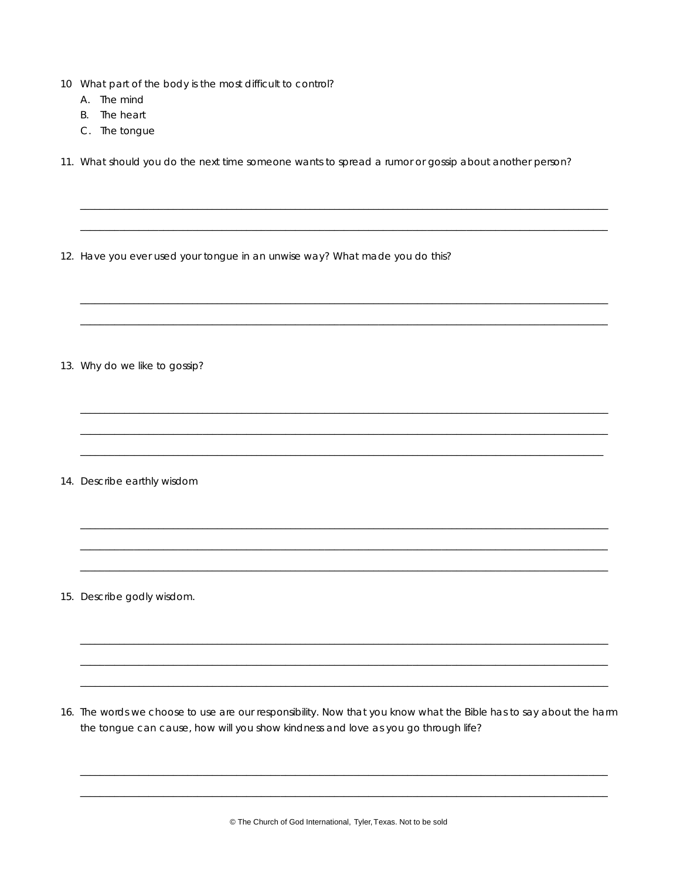- 10 What part of the body is the most difficult to control?
	- A. The mind
	- B. The heart
	- C. The tonque
- 11. What should you do the next time someone wants to spread a rumor or gossip about another person?
- 12. Have you ever used your tongue in an unwise way? What made you do this?

13. Why do we like to gossip?

14. Describe earthly wisdom

15. Describe godly wisdom.

16. The words we choose to use are our responsibility. Now that you know what the Bible has to say about the harm the tongue can cause, how will you show kindness and love as you go through life?